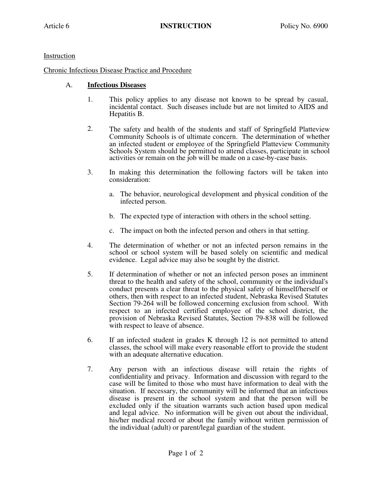Instruction

## Chronic Infectious Disease Practice and Procedure

## A. **Infectious Diseases**

- 1. This policy applies to any disease not known to be spread by casual, incidental contact. Such diseases include but are not limited to AIDS and Hepatitis B.
- 2. The safety and health of the students and staff of Springfield Platteview Community Schools is of ultimate concern. The determination of whether an infected student or employee of the Springfield Platteview Community Schools System should be permitted to attend classes, participate in school activities or remain on the job will be made on a case-by-case basis.
- 3. In making this determination the following factors will be taken into consideration:
	- a. The behavior, neurological development and physical condition of the infected person.
	- b. The expected type of interaction with others in the school setting.
	- c. The impact on both the infected person and others in that setting.
- 4. The determination of whether or not an infected person remains in the school or school system will be based solely on scientific and medical evidence. Legal advice may also be sought by the district.
- 5. If determination of whether or not an infected person poses an imminent threat to the health and safety of the school, community or the individual's conduct presents a clear threat to the physical safety of himself/herself or others, then with respect to an infected student, Nebraska Revised Statutes Section 79-264 will be followed concerning exclusion from school. With respect to an infected certified employee of the school district, the provision of Nebraska Revised Statutes, Section 79-838 will be followed with respect to leave of absence.
- 6. If an infected student in grades K through 12 is not permitted to attend classes, the school will make every reasonable effort to provide the student with an adequate alternative education.
- 7. Any person with an infectious disease will retain the rights of confidentiality and privacy. Information and discussion with regard to the case will be limited to those who must have information to deal with the situation. If necessary, the community will be informed that an infectious disease is present in the school system and that the person will be excluded only if the situation warrants such action based upon medical and legal advice. No information will be given out about the individual, his/her medical record or about the family without written permission of the individual (adult) or parent/legal guardian of the student.